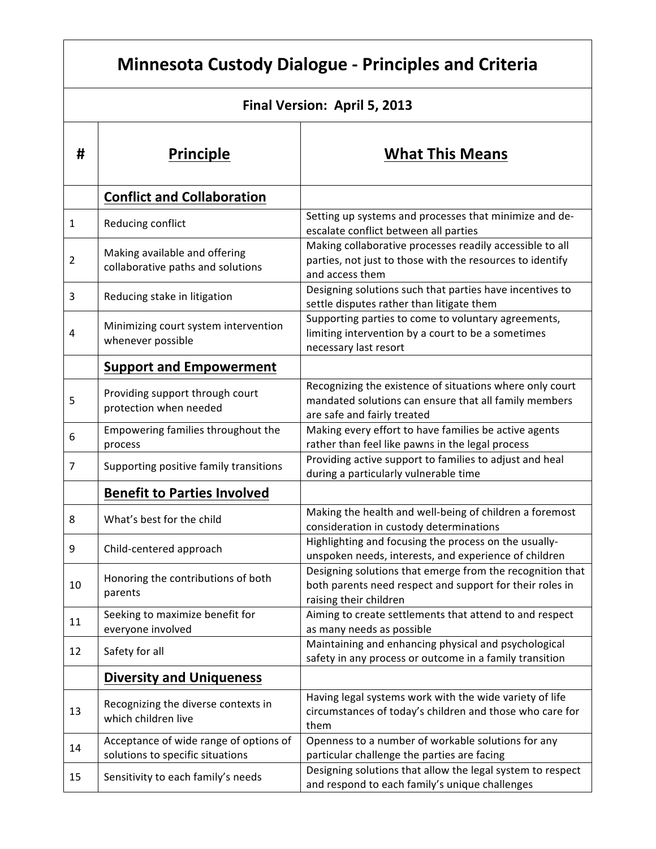| <b>Minnesota Custody Dialogue - Principles and Criteria</b> |                                                                            |                                                                                                                                                  |  |
|-------------------------------------------------------------|----------------------------------------------------------------------------|--------------------------------------------------------------------------------------------------------------------------------------------------|--|
| Final Version: April 5, 2013                                |                                                                            |                                                                                                                                                  |  |
| #                                                           | <b>Principle</b>                                                           | <b>What This Means</b>                                                                                                                           |  |
|                                                             | <b>Conflict and Collaboration</b>                                          |                                                                                                                                                  |  |
| $\mathbf{1}$                                                | Reducing conflict                                                          | Setting up systems and processes that minimize and de-<br>escalate conflict between all parties                                                  |  |
| $\overline{2}$                                              | Making available and offering<br>collaborative paths and solutions         | Making collaborative processes readily accessible to all<br>parties, not just to those with the resources to identify<br>and access them         |  |
| 3                                                           | Reducing stake in litigation                                               | Designing solutions such that parties have incentives to<br>settle disputes rather than litigate them                                            |  |
| 4                                                           | Minimizing court system intervention<br>whenever possible                  | Supporting parties to come to voluntary agreements,<br>limiting intervention by a court to be a sometimes<br>necessary last resort               |  |
|                                                             | <b>Support and Empowerment</b>                                             |                                                                                                                                                  |  |
| 5                                                           | Providing support through court<br>protection when needed                  | Recognizing the existence of situations where only court<br>mandated solutions can ensure that all family members<br>are safe and fairly treated |  |
| 6                                                           | Empowering families throughout the<br>process                              | Making every effort to have families be active agents<br>rather than feel like pawns in the legal process                                        |  |
| 7                                                           | Supporting positive family transitions                                     | Providing active support to families to adjust and heal<br>during a particularly vulnerable time                                                 |  |
|                                                             | <b>Benefit to Parties Involved</b>                                         |                                                                                                                                                  |  |
| 8                                                           | What's best for the child                                                  | Making the health and well-being of children a foremost<br>consideration in custody determinations                                               |  |
| 9                                                           | Child-centered approach                                                    | Highlighting and focusing the process on the usually-<br>unspoken needs, interests, and experience of children                                   |  |
| 10                                                          | Honoring the contributions of both<br>parents                              | Designing solutions that emerge from the recognition that<br>both parents need respect and support for their roles in<br>raising their children  |  |
| 11                                                          | Seeking to maximize benefit for<br>everyone involved                       | Aiming to create settlements that attend to and respect<br>as many needs as possible                                                             |  |
| 12                                                          | Safety for all                                                             | Maintaining and enhancing physical and psychological<br>safety in any process or outcome in a family transition                                  |  |
|                                                             | <b>Diversity and Uniqueness</b>                                            |                                                                                                                                                  |  |
| 13                                                          | Recognizing the diverse contexts in<br>which children live                 | Having legal systems work with the wide variety of life<br>circumstances of today's children and those who care for<br>them                      |  |
| 14                                                          | Acceptance of wide range of options of<br>solutions to specific situations | Openness to a number of workable solutions for any<br>particular challenge the parties are facing                                                |  |
| 15                                                          | Sensitivity to each family's needs                                         | Designing solutions that allow the legal system to respect<br>and respond to each family's unique challenges                                     |  |